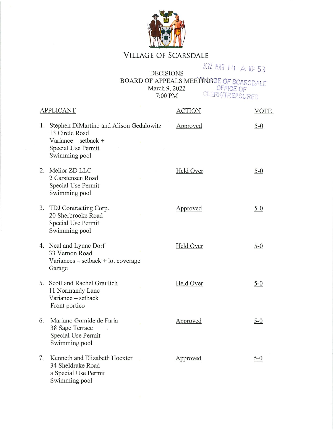

## VILLAGE OF SCARSDALE

2022 MAR 14 A 10: 53 **DECISIONS** DECISIONS<br>BOARD OF APPEALS MEETINGGE OF SCARSDALE<br>March 9, 2022 OFFICE OF<br>7:00 PM CLERK/TREASURER

| <b>APPLICANT</b> |                                                                                                                                 | <b>ACTION</b> | <b>VOTE</b> |         |
|------------------|---------------------------------------------------------------------------------------------------------------------------------|---------------|-------------|---------|
|                  | 1. Stephen DiMartino and Alison Gedalowitz<br>13 Circle Road<br>Variance $-$ setback $+$<br>Special Use Permit<br>Swimming pool |               | Approved    | $5 - 0$ |
|                  | 2. Melior ZD LLC<br>2 Carstensen Road<br>Special Use Permit<br>Swimming pool                                                    |               | Held Over   | $5 - 0$ |
|                  | 3. TDJ Contracting Corp.<br>20 Sherbrooke Road<br>Special Use Permit<br>Swimming pool                                           |               | Approved    | $5 - 0$ |
|                  | 4. Neal and Lynne Dorf<br>33 Vernon Road<br>Variances $-$ setback $+$ lot coverage<br>Garage                                    |               | Held Over   | $5 - 0$ |
|                  | 5. Scott and Rachel Graulich<br>11 Normandy Lane<br>Variance - setback<br>Front portico                                         |               | Held Over   | $5 - 0$ |
| 6.               | Mariano Gomide de Faria<br>38 Sage Terrace<br>Special Use Permit<br>Swimming pool                                               |               | Approved    | $5 - 0$ |
| 7.               | Kenneth and Elizabeth Hoexter<br>34 Sheldrake Road<br>a Special Use Permit<br>Swimming pool                                     |               | Approved    | $5 - 0$ |
|                  |                                                                                                                                 |               |             |         |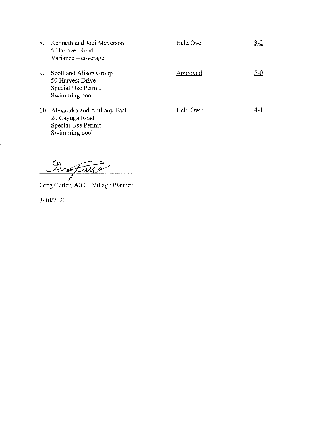| 8. | Kenneth and Jodi Meyerson<br>5 Hanover Road<br>Variance – coverage                      | Held Over | $3-2$   |
|----|-----------------------------------------------------------------------------------------|-----------|---------|
| 9. | Scott and Alison Group<br>50 Harvest Drive<br>Special Use Permit<br>Swimming pool       | Approved  | $5 - 0$ |
|    | 10. Alexandra and Anthony East<br>20 Cayuga Road<br>Special Use Permit<br>Swimming pool | Held Over | 4- 1    |

Dreaftwar

Greg Cutler, AICP, Village Planner

3/10/2022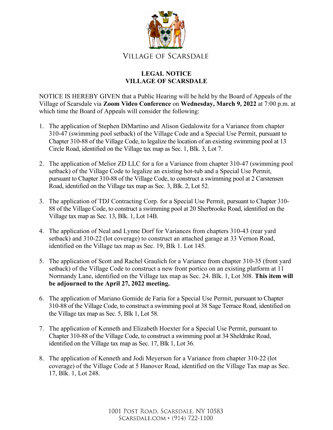

## **LEGAL NOTICE VILLAGE OF SCARSDALE**

NOTICE IS HEREBY GIVEN that a Public Hearing will be held by the Board of Appeals of the Village of Scarsdale via **Zoom Video Conference** on **Wednesday, March 9, 2022** at 7:00 p.m. at which time the Board of Appeals will consider the following:

- 1. The application of Stephen DiMartino and Alison Gedalowitz for a Variance from chapter 310-47 (swimming pool setback) of the Village Code and a Special Use Permit, pursuant to Chapter 310-88 of the Village Code, to legalize the location of an existing swimming pool at 13 Circle Road, identified on the Village tax map as Sec. 1, Blk. 3, Lot 7.
- 2. The application of Melior ZD LLC for a for a Variance from chapter 310-47 (swimming pool setback) of the Village Code to legalize an existing hot-tub and a Special Use Permit, pursuant to Chapter 310-88 of the Village Code, to construct a swimming pool at 2 Carstensen Road, identified on the Village tax map as Sec. 3, Blk. 2, Lot 52.
- 3. The application of TDJ Contracting Corp. for a Special Use Permit, pursuant to Chapter 310- 88 of the Village Code, to construct a swimming pool at 20 Sherbrooke Road, identified on the Village tax map as Sec. 13, Blk. 1, Lot 14B.
- 4. The application of Neal and Lynne Dorf for Variances from chapters 310-43 (rear yard setback) and 310-22 (lot coverage) to construct an attached garage at 33 Vernon Road, identified on the Village tax map as Sec. 19, Blk 1. Lot 145.
- 5. The application of Scott and Rachel Graulich for a Variance from chapter 310-35 (front yard setback) of the Village Code to construct a new front portico on an existing platform at 11 Normandy Lane, identified on the Village tax map as Sec. 24. Blk. 1, Lot 308. **This item will be adjourned to the April 27, 2022 meeting.**
- 6. The application of Mariano Gomide de Faria for a Special Use Permit, pursuant to Chapter 310-88 of the Village Code, to construct a swimming pool at 38 Sage Terrace Road, identified on the Village tax map as Sec. 5, Blk 1, Lot 58.
- 7. The application of Kenneth and Elizabeth Hoexter for a Special Use Permit, pursuant to Chapter 310-88 of the Village Code, to construct a swimming pool at 34 Sheldrake Road, identified on the Village tax map as Sec. 17, Blk 1, Lot 36.
- 8. The application of Kenneth and Jodi Meyerson for a Variance from chapter 310-22 (lot coverage) of the Village Code at 5 Hanover Road, identified on the Village Tax map as Sec. 17, Blk. 1, Lot 248.